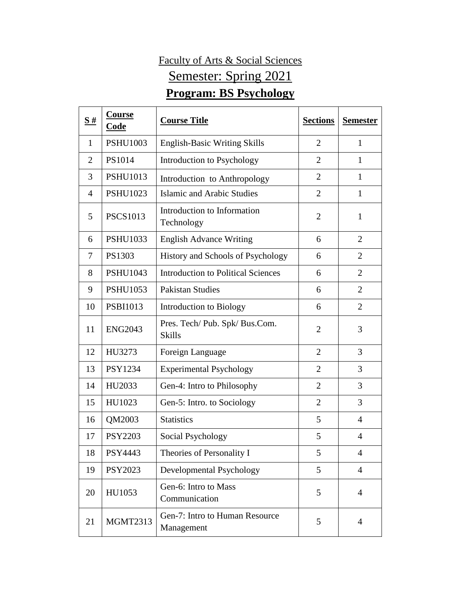## Faculty of Arts & Social Sciences Semester: Spring 2021 **Program: BS Psychology**

| $\bf S$ #      | <b>Course</b><br>Code | <b>Course Title</b>                             | <b>Sections</b> | <b>Semester</b> |
|----------------|-----------------------|-------------------------------------------------|-----------------|-----------------|
| 1              | <b>PSHU1003</b>       | <b>English-Basic Writing Skills</b>             | $\overline{2}$  | 1               |
| $\overline{2}$ | PS1014                | Introduction to Psychology                      | $\overline{2}$  | 1               |
| 3              | <b>PSHU1013</b>       | Introduction to Anthropology                    | $\overline{2}$  | $\mathbf{1}$    |
| $\overline{4}$ | <b>PSHU1023</b>       | Islamic and Arabic Studies                      | $\overline{2}$  | $\mathbf{1}$    |
| 5              | <b>PSCS1013</b>       | Introduction to Information<br>Technology       | $\overline{2}$  | $\mathbf{1}$    |
| 6              | <b>PSHU1033</b>       | <b>English Advance Writing</b>                  | 6               | $\overline{2}$  |
| 7              | PS1303                | History and Schools of Psychology               | 6               | $\overline{2}$  |
| 8              | <b>PSHU1043</b>       | <b>Introduction to Political Sciences</b>       | 6               | $\overline{2}$  |
| 9              | <b>PSHU1053</b>       | <b>Pakistan Studies</b>                         | 6               | $\overline{2}$  |
| 10             | <b>PSBI1013</b>       | Introduction to Biology                         | 6               | $\overline{2}$  |
| 11             | <b>ENG2043</b>        | Pres. Tech/ Pub. Spk/ Bus.Com.<br><b>Skills</b> | $\overline{2}$  | 3               |
| 12             | HU3273                | Foreign Language                                | $\overline{2}$  | 3               |
| 13             | <b>PSY1234</b>        | <b>Experimental Psychology</b>                  | $\overline{2}$  | 3               |
| 14             | HU2033                | Gen-4: Intro to Philosophy                      | $\overline{2}$  | 3               |
| 15             | HU1023                | Gen-5: Intro. to Sociology                      | $\overline{2}$  | 3               |
| 16             | QM2003                | <b>Statistics</b>                               | 5               | $\overline{4}$  |
| 17             | <b>PSY2203</b>        | Social Psychology                               | 5               | 4               |
| 18             | PSY4443               | Theories of Personality I                       | 5               | $\overline{4}$  |
| 19             | PSY2023               | Developmental Psychology                        | 5               | $\overline{4}$  |
| 20             | HU1053                | Gen-6: Intro to Mass<br>Communication           | 5               | $\overline{4}$  |
| 21             | <b>MGMT2313</b>       | Gen-7: Intro to Human Resource<br>Management    | 5               | $\overline{4}$  |